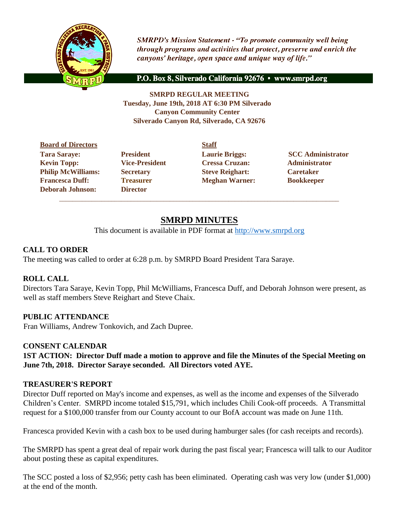

**SMRPD's Mission Statement - "To promote community well being** through programs and activities that protect, preserve and enrich the canyons' heritage, open space and unique way of life."

P.O. Box 8, Silverado California 92676 · www.smrpd.org

**SMRPD REGULAR MEETING Tuesday, June 19th, 2018 AT 6:30 PM Silverado Canyon Community Center Silverado Canyon Rd, Silverado, CA 92676** 

**Board of Directors Staff Tara Saraye:** President **Laurie Briggs:** SCC Administrator **Kevin Topp: Vice-President Cressa Cruzan: Administrator Philip McWilliams: Secretary <b>Steve Reighart:** Caretaker **Francesca Duff: Treasurer Meghan Warner: Bookkeeper Deborah Johnson: Director**

# **SMRPD MINUTES**

\_\_\_\_\_\_\_\_\_\_\_\_\_\_\_\_\_\_\_\_\_\_\_\_\_\_\_\_\_\_\_\_\_\_\_\_\_\_\_\_\_\_\_\_\_\_\_\_\_\_\_\_\_\_\_\_\_\_\_\_\_\_\_\_\_\_\_\_\_\_\_\_\_\_\_\_\_\_\_\_\_\_\_\_\_\_

This document is available in PDF format at [http://www.smrpd.org](http://www.smrpd.org/)

### **CALL TO ORDER**

The meeting was called to order at 6:28 p.m. by SMRPD Board President Tara Saraye.

# **ROLL CALL**

Directors Tara Saraye, Kevin Topp, Phil McWilliams, Francesca Duff, and Deborah Johnson were present, as well as staff members Steve Reighart and Steve Chaix.

# **PUBLIC ATTENDANCE**

Fran Williams, Andrew Tonkovich, and Zach Dupree.

#### **CONSENT CALENDAR**

**1ST ACTION: Director Duff made a motion to approve and file the Minutes of the Special Meeting on June 7th, 2018. Director Saraye seconded. All Directors voted AYE.**

#### **TREASURER'S REPORT**

Director Duff reported on May's income and expenses, as well as the income and expenses of the Silverado Children's Center. SMRPD income totaled \$15,791, which includes Chili Cook-off proceeds. A Transmittal request for a \$100,000 transfer from our County account to our BofA account was made on June 11th.

Francesca provided Kevin with a cash box to be used during hamburger sales (for cash receipts and records).

The SMRPD has spent a great deal of repair work during the past fiscal year; Francesca will talk to our Auditor about posting these as capital expenditures.

The SCC posted a loss of \$2,956; petty cash has been eliminated. Operating cash was very low (under \$1,000) at the end of the month.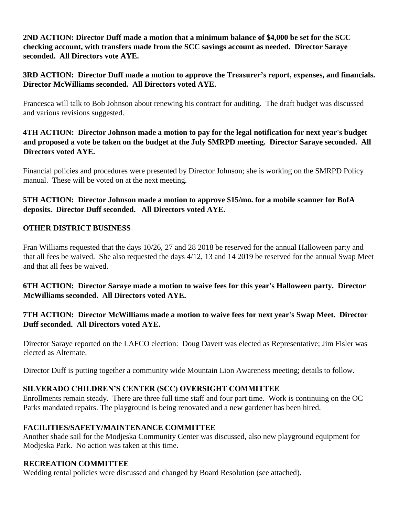**2ND ACTION: Director Duff made a motion that a minimum balance of \$4,000 be set for the SCC checking account, with transfers made from the SCC savings account as needed. Director Saraye seconded. All Directors vote AYE.** 

# **3RD ACTION: Director Duff made a motion to approve the Treasurer's report, expenses, and financials. Director McWilliams seconded. All Directors voted AYE.**

Francesca will talk to Bob Johnson about renewing his contract for auditing. The draft budget was discussed and various revisions suggested.

# **4TH ACTION: Director Johnson made a motion to pay for the legal notification for next year's budget and proposed a vote be taken on the budget at the July SMRPD meeting. Director Saraye seconded. All Directors voted AYE.**

Financial policies and procedures were presented by Director Johnson; she is working on the SMRPD Policy manual. These will be voted on at the next meeting.

# **5TH ACTION: Director Johnson made a motion to approve \$15/mo. for a mobile scanner for BofA deposits. Director Duff seconded. All Directors voted AYE.**

# **OTHER DISTRICT BUSINESS**

Fran Williams requested that the days 10/26, 27 and 28 2018 be reserved for the annual Halloween party and that all fees be waived. She also requested the days 4/12, 13 and 14 2019 be reserved for the annual Swap Meet and that all fees be waived.

# **6TH ACTION: Director Saraye made a motion to waive fees for this year's Halloween party. Director McWilliams seconded. All Directors voted AYE.**

# **7TH ACTION: Director McWilliams made a motion to waive fees for next year's Swap Meet. Director Duff seconded. All Directors voted AYE.**

Director Saraye reported on the LAFCO election: Doug Davert was elected as Representative; Jim Fisler was elected as Alternate.

Director Duff is putting together a community wide Mountain Lion Awareness meeting; details to follow.

# **SILVERADO CHILDREN'S CENTER (SCC) OVERSIGHT COMMITTEE**

Enrollments remain steady. There are three full time staff and four part time. Work is continuing on the OC Parks mandated repairs. The playground is being renovated and a new gardener has been hired.

# **FACILITIES/SAFETY/MAINTENANCE COMMITTEE**

Another shade sail for the Modjeska Community Center was discussed, also new playground equipment for Modjeska Park. No action was taken at this time.

# **RECREATION COMMITTEE**

Wedding rental policies were discussed and changed by Board Resolution (see attached).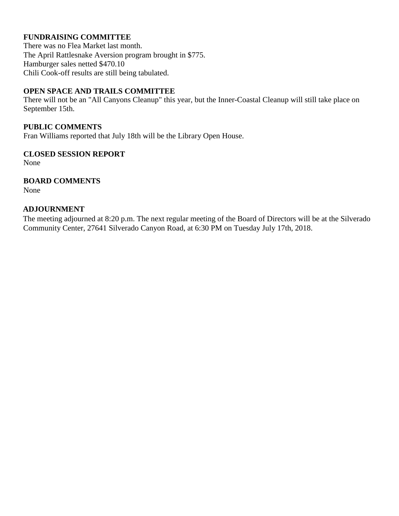# **FUNDRAISING COMMITTEE**

There was no Flea Market last month. The April Rattlesnake Aversion program brought in \$775. Hamburger sales netted \$470.10 Chili Cook-off results are still being tabulated.

### **OPEN SPACE AND TRAILS COMMITTEE**

There will not be an "All Canyons Cleanup" this year, but the Inner-Coastal Cleanup will still take place on September 15th.

# **PUBLIC COMMENTS**

Fran Williams reported that July 18th will be the Library Open House.

### **CLOSED SESSION REPORT**

None

# **BOARD COMMENTS**

None

### **ADJOURNMENT**

The meeting adjourned at 8:20 p.m. The next regular meeting of the Board of Directors will be at the Silverado Community Center, 27641 Silverado Canyon Road, at 6:30 PM on Tuesday July 17th, 2018.